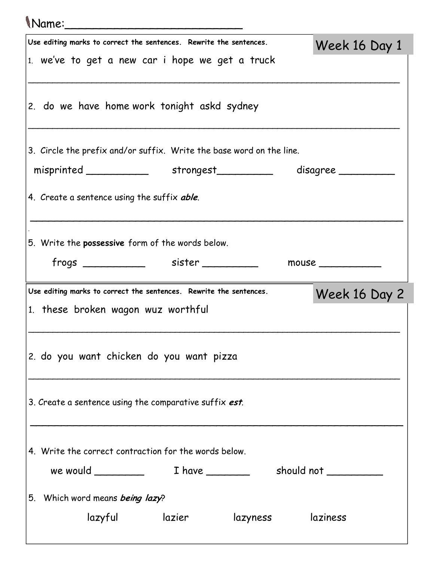| Mame:                                                                |               |
|----------------------------------------------------------------------|---------------|
| Use editing marks to correct the sentences. Rewrite the sentences.   | Week 16 Day 1 |
| 1. we've to get a new car i hope we get a truck                      |               |
| 2. do we have home work tonight askd sydney                          |               |
| 3. Circle the prefix and/or suffix. Write the base word on the line. |               |
| misprinted strongest disagree                                        |               |
| 4. Create a sentence using the suffix able.                          |               |
| 5. Write the <b>possessive</b> form of the words below.              |               |
|                                                                      | mouse $\_$    |
|                                                                      |               |
| Use editing marks to correct the sentences. Rewrite the sentences.   |               |
| 1. these broken wagon wuz worthful                                   | Week 16 Day 2 |
| 2. do you want chicken do you want pizza                             |               |
| 3. Create a sentence using the comparative suffix est.               |               |
| 4. Write the correct contraction for the words below.                |               |
|                                                                      |               |
| 5. Which word means being lazy?                                      |               |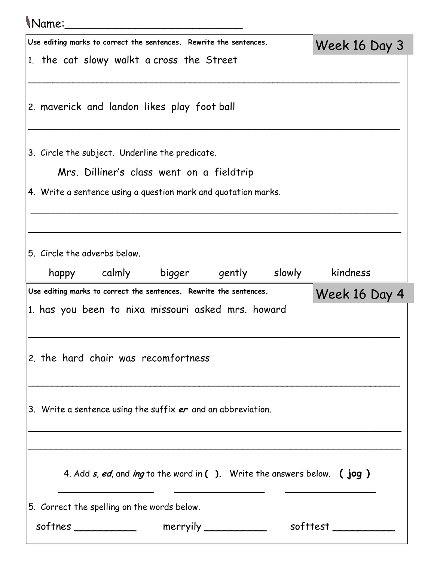## Name:\_\_\_\_\_\_\_\_\_\_\_\_\_\_\_\_\_\_\_\_\_\_\_\_\_ Use editing marks to correct the sentences. Rewrite the sentences. 1. the cat slowy walkt a cross the Street \_\_\_\_\_\_\_\_\_\_\_\_\_\_\_\_\_\_\_\_\_\_\_\_\_\_\_\_\_\_\_\_\_\_\_\_\_\_\_\_\_\_\_\_\_\_\_\_\_\_\_\_\_\_\_\_\_\_\_\_\_\_\_\_\_\_\_\_\_\_\_\_\_\_\_\_ 2. maverick and landon likes play foot ball \_\_\_\_\_\_\_\_\_\_\_\_\_\_\_\_\_\_\_\_\_\_\_\_\_\_\_\_\_\_\_\_\_\_\_\_\_\_\_\_\_\_\_\_\_\_\_\_\_\_\_\_\_\_\_\_\_\_\_\_\_\_\_\_\_\_\_\_\_\_\_\_\_\_\_\_ 3. Circle the subject. Underline the predicate. Mrs. Dilliner's class went on a fieldtrip 4. Write a sentence using a question mark and quotation marks. \_\_\_\_\_\_\_\_\_\_\_\_\_\_\_\_\_\_\_\_\_\_\_\_\_\_\_\_\_\_\_\_\_\_\_\_\_\_\_\_\_\_\_\_\_\_\_\_\_\_\_\_\_\_\_\_\_\_\_\_\_\_\_\_\_\_\_\_\_ \_\_\_\_\_\_\_\_\_\_\_\_\_\_\_\_\_\_\_\_\_\_\_\_\_\_\_\_\_\_\_\_\_\_\_\_\_\_\_\_\_\_\_\_\_\_\_\_\_\_\_\_\_\_\_\_\_\_\_\_\_\_\_\_\_\_\_\_\_\_ 5. Circle the adverbs below. happy calmly bigger gently slowly kindness Week 16 Day 3 Use editing marks to correct the sentences. Rewrite the sentences. 1. has you been to nixa missouri asked mrs. howard \_\_\_\_\_\_\_\_\_\_\_\_\_\_\_\_\_\_\_\_\_\_\_\_\_\_\_\_\_\_\_\_\_\_\_\_\_\_\_\_\_\_\_\_\_\_\_\_\_\_\_\_\_\_\_\_\_\_\_\_\_\_\_\_\_\_\_\_\_\_\_\_\_\_\_\_ 2. the hard chair was recomfortness \_\_\_\_\_\_\_\_\_\_\_\_\_\_\_\_\_\_\_\_\_\_\_\_\_\_\_\_\_\_\_\_\_\_\_\_\_\_\_\_\_\_\_\_\_\_\_\_\_\_\_\_\_\_\_\_\_\_\_\_\_\_\_\_\_\_\_\_\_\_\_\_\_\_\_\_ 3. Write a sentence using the suffix  $er$  and an abbreviation. \_\_\_\_\_\_\_\_\_\_\_\_\_\_\_\_\_\_\_\_\_\_\_\_\_\_\_\_\_\_\_\_\_\_\_\_\_\_\_\_\_\_\_\_\_\_\_\_\_\_\_\_\_\_\_\_\_\_\_\_\_\_\_\_\_\_\_\_\_\_ \_\_\_\_\_\_\_\_\_\_\_\_\_\_\_\_\_\_\_\_\_\_\_\_\_\_\_\_\_\_\_\_\_\_\_\_\_\_\_\_\_\_\_\_\_\_\_\_\_\_\_\_\_\_\_\_\_\_\_\_\_\_\_\_\_\_\_\_\_\_ 4. Add  $s$ , ed, and ing to the word in ( ). Write the answers below. (jog) \_\_\_\_\_\_\_\_\_\_\_\_\_\_\_\_\_\_ \_\_\_\_\_\_\_\_\_\_\_\_\_\_\_\_\_ \_\_\_\_\_\_\_\_\_\_\_\_\_\_\_\_\_ Week 16 Day 4

| 5. Correct the spelling on the words below. |          |          |
|---------------------------------------------|----------|----------|
| softnes                                     | merryily | softtest |